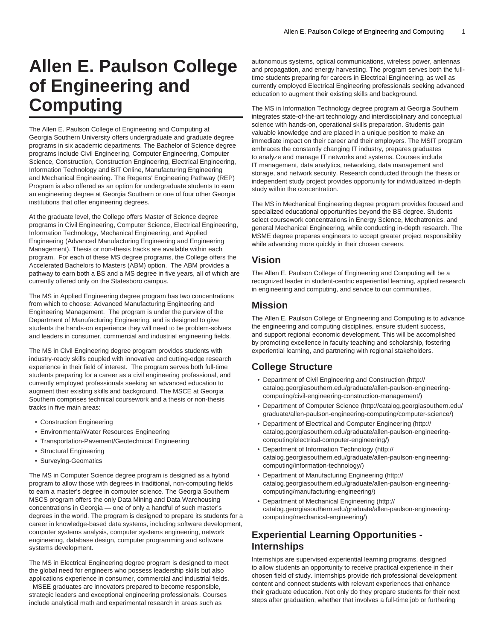# **Allen E. Paulson College of Engineering and Computing**

The Allen E. Paulson College of Engineering and Computing at Georgia Southern University offers undergraduate and graduate degree programs in six academic departments. The Bachelor of Science degree programs include Civil Engineering, Computer Engineering, Computer Science, Construction, Construction Engineering, Electrical Engineering, Information Technology and BIT Online, Manufacturing Engineering and Mechanical Engineering. The Regents' Engineering Pathway (REP) Program is also offered as an option for undergraduate students to earn an engineering degree at Georgia Southern or one of four other Georgia institutions that offer engineering degrees.

At the graduate level, the College offers Master of Science degree programs in Civil Engineering, Computer Science, Electrical Engineering, Information Technology, Mechanical Engineering, and Applied Engineering (Advanced Manufacturing Engineering and Engineering Management). Thesis or non-thesis tracks are available within each program. For each of these MS degree programs, the College offers the Accelerated Bachelors to Masters (ABM) option. The ABM provides a pathway to earn both a BS and a MS degree in five years, all of which are currently offered only on the Statesboro campus.

The MS in Applied Engineering degree program has two concentrations from which to choose: Advanced Manufacturing Engineering and Engineering Management. The program is under the purview of the Department of Manufacturing Engineering, and is designed to give students the hands-on experience they will need to be problem-solvers and leaders in consumer, commercial and industrial engineering fields.

The MS in Civil Engineering degree program provides students with industry-ready skills coupled with innovative and cutting-edge research experience in their field of interest. The program serves both full-time students preparing for a career as a civil engineering professional, and currently employed professionals seeking an advanced education to augment their existing skills and background. The MSCE at Georgia Southern comprises technical coursework and a thesis or non-thesis tracks in five main areas:

- Construction Engineering
- Environmental/Water Resources Engineering
- Transportation-Pavement/Geotechnical Engineering
- Structural Engineering
- Surveying-Geomatics

The MS in Computer Science degree program is designed as a hybrid program to allow those with degrees in traditional, non-computing fields to earn a master's degree in computer science. The Georgia Southern MSCS program offers the only Data Mining and Data Warehousing concentrations in Georgia — one of only a handful of such master's degrees in the world. The program is designed to prepare its students for a career in knowledge-based data systems, including software development, computer systems analysis, computer systems engineering, network engineering, database design, computer programming and software systems development.

The MS in Electrical Engineering degree program is designed to meet the global need for engineers who possess leadership skills but also applications experience in consumer, commercial and industrial fields. MSEE graduates are innovators prepared to become responsible, strategic leaders and exceptional engineering professionals. Courses include analytical math and experimental research in areas such as

autonomous systems, optical communications, wireless power, antennas and propagation, and energy harvesting. The program serves both the fulltime students preparing for careers in Electrical Engineering, as well as currently employed Electrical Engineering professionals seeking advanced education to augment their existing skills and background.

The MS in Information Technology degree program at Georgia Southern integrates state-of-the-art technology and interdisciplinary and conceptual science with hands-on, operational skills preparation. Students gain valuable knowledge and are placed in a unique position to make an immediate impact on their career and their employers. The MSIT program embraces the constantly changing IT industry, prepares graduates to analyze and manage IT networks and systems. Courses include IT management, data analytics, networking, data management and storage, and network security. Research conducted through the thesis or independent study project provides opportunity for individualized in-depth study within the concentration.

The MS in Mechanical Engineering degree program provides focused and specialized educational opportunities beyond the BS degree. Students select coursework concentrations in Energy Science, Mechatronics, and general Mechanical Engineering, while conducting in-depth research. The MSME degree prepares engineers to accept greater project responsibility while advancing more quickly in their chosen careers.

### **Vision**

The Allen E. Paulson College of Engineering and Computing will be a recognized leader in student-centric experiential learning, applied research in engineering and computing, and service to our communities.

#### **Mission**

The Allen E. Paulson College of Engineering and Computing is to advance the engineering and computing disciplines, ensure student success, and support regional economic development. This will be accomplished by promoting excellence in faculty teaching and scholarship, fostering experiential learning, and partnering with regional stakeholders.

## **College Structure**

- [Department of Civil Engineering and Construction](http://catalog.georgiasouthern.edu/graduate/allen-paulson-engineering-computing/civil-engineering-construction-management/) ([http://](http://catalog.georgiasouthern.edu/graduate/allen-paulson-engineering-computing/civil-engineering-construction-management/) [catalog.georgiasouthern.edu/graduate/allen-paulson-engineering](http://catalog.georgiasouthern.edu/graduate/allen-paulson-engineering-computing/civil-engineering-construction-management/)[computing/civil-engineering-construction-management/\)](http://catalog.georgiasouthern.edu/graduate/allen-paulson-engineering-computing/civil-engineering-construction-management/)
- [Department of Computer Science](http://catalog.georgiasouthern.edu/graduate/allen-paulson-engineering-computing/computer-science/) ([http://catalog.georgiasouthern.edu/](http://catalog.georgiasouthern.edu/graduate/allen-paulson-engineering-computing/computer-science/) [graduate/allen-paulson-engineering-computing/computer-science/](http://catalog.georgiasouthern.edu/graduate/allen-paulson-engineering-computing/computer-science/))
- [Department of Electrical and Computer Engineering \(http://](http://catalog.georgiasouthern.edu/graduate/allen-paulson-engineering-computing/electrical-computer-engineering/) [catalog.georgiasouthern.edu/graduate/allen-paulson-engineering](http://catalog.georgiasouthern.edu/graduate/allen-paulson-engineering-computing/electrical-computer-engineering/)[computing/electrical-computer-engineering/\)](http://catalog.georgiasouthern.edu/graduate/allen-paulson-engineering-computing/electrical-computer-engineering/)
- [Department of Information Technology](http://catalog.georgiasouthern.edu/graduate/allen-paulson-engineering-computing/information-technology/) ([http://](http://catalog.georgiasouthern.edu/graduate/allen-paulson-engineering-computing/information-technology/) [catalog.georgiasouthern.edu/graduate/allen-paulson-engineering](http://catalog.georgiasouthern.edu/graduate/allen-paulson-engineering-computing/information-technology/)[computing/information-technology/\)](http://catalog.georgiasouthern.edu/graduate/allen-paulson-engineering-computing/information-technology/)
- [Department of Manufacturing Engineering](http://catalog.georgiasouthern.edu/graduate/allen-paulson-engineering-computing/manufacturing-engineering/) ([http://](http://catalog.georgiasouthern.edu/graduate/allen-paulson-engineering-computing/manufacturing-engineering/) [catalog.georgiasouthern.edu/graduate/allen-paulson-engineering](http://catalog.georgiasouthern.edu/graduate/allen-paulson-engineering-computing/manufacturing-engineering/)[computing/manufacturing-engineering/\)](http://catalog.georgiasouthern.edu/graduate/allen-paulson-engineering-computing/manufacturing-engineering/)
- [Department of Mechanical Engineering](http://catalog.georgiasouthern.edu/graduate/allen-paulson-engineering-computing/mechanical-engineering/) ([http://](http://catalog.georgiasouthern.edu/graduate/allen-paulson-engineering-computing/mechanical-engineering/) [catalog.georgiasouthern.edu/graduate/allen-paulson-engineering](http://catalog.georgiasouthern.edu/graduate/allen-paulson-engineering-computing/mechanical-engineering/)[computing/mechanical-engineering/\)](http://catalog.georgiasouthern.edu/graduate/allen-paulson-engineering-computing/mechanical-engineering/)

# **Experiential Learning Opportunities - Internships**

Internships are supervised experiential learning programs, designed to allow students an opportunity to receive practical experience in their chosen field of study. Internships provide rich professional development content and connect students with relevant experiences that enhance their graduate education. Not only do they prepare students for their next steps after graduation, whether that involves a full-time job or furthering